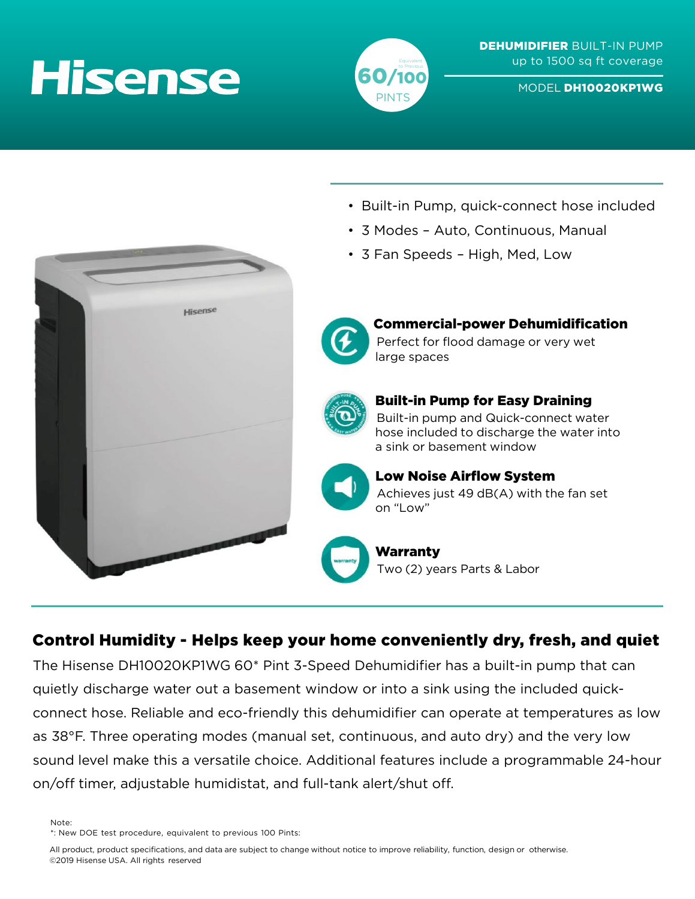# **Hisense**



MODEL DH10020KP1WG

- Built-in Pump, quick-connect hose included
- 3 Modes Auto, Continuous, Manual
- 3 Fan Speeds High, Med, Low





#### Commercial-power Dehumidification Perfect for flood damage or very wet large spaces



### Built-in Pump for Easy Draining

Built-in pump and Quick-connect water hose included to discharge the water into a sink or basement window



## Low Noise Airflow System

Achieves just 49 dB(A) with the fan set on "Low"

Warranty Two (2) years Parts & Labor

### Control Humidity - Helps keep your home conveniently dry, fresh, and quiet

The Hisense DH10020KP1WG 60\* Pint 3-Speed Dehumidifier has a built-in pump that can quietly discharge water out a basement window or into a sink using the included quickconnect hose. Reliable and eco-friendly this dehumidifier can operate at temperatures as low as 38°F. Three operating modes (manual set, continuous, and auto dry) and the very low sound level make this a versatile choice. Additional features include a programmable 24-hour on/off timer, adjustable humidistat, and full-tank alert/shut off.

Note:

All product, product specifications, and data are subject to change without notice to improve reliability, function, design or otherwise. ©2019 Hisense USA. All rights reserved

<sup>\*:</sup> New DOE test procedure, equivalent to previous 100 Pints: